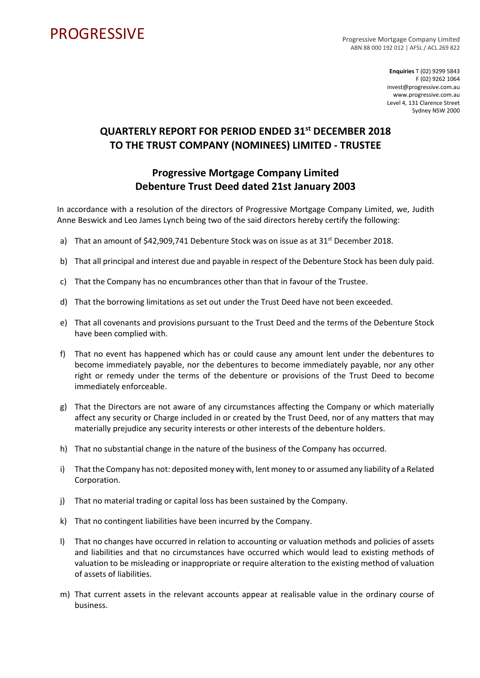## **PROGRESSIVE**

Progressive Mortgage Company Limited ABN 88 000 192 012 | AFSL / ACL 269 822

> **Enquiries** T (02) 9299 5843 F (02) 9262 1064 invest@progressive.com.au www.progressive.com.au Level 4, 131 Clarence Street Sydney NSW 2000

## **QUARTERLY REPORT FOR PERIOD ENDED 31st DECEMBER 2018 TO THE TRUST COMPANY (NOMINEES) LIMITED - TRUSTEE**

## **Progressive Mortgage Company Limited Debenture Trust Deed dated 21st January 2003**

In accordance with a resolution of the directors of Progressive Mortgage Company Limited, we, Judith Anne Beswick and Leo James Lynch being two of the said directors hereby certify the following:

- a) That an amount of  $$42,909,741$  Debenture Stock was on issue as at 31<sup>st</sup> December 2018.
- b) That all principal and interest due and payable in respect of the Debenture Stock has been duly paid.
- c) That the Company has no encumbrances other than that in favour of the Trustee.
- d) That the borrowing limitations as set out under the Trust Deed have not been exceeded.
- e) That all covenants and provisions pursuant to the Trust Deed and the terms of the Debenture Stock have been complied with.
- f) That no event has happened which has or could cause any amount lent under the debentures to become immediately payable, nor the debentures to become immediately payable, nor any other right or remedy under the terms of the debenture or provisions of the Trust Deed to become immediately enforceable.
- g) That the Directors are not aware of any circumstances affecting the Company or which materially affect any security or Charge included in or created by the Trust Deed, nor of any matters that may materially prejudice any security interests or other interests of the debenture holders.
- h) That no substantial change in the nature of the business of the Company has occurred.
- i) That the Company has not: deposited money with, lent money to or assumed any liability of a Related Corporation.
- j) That no material trading or capital loss has been sustained by the Company.
- k) That no contingent liabilities have been incurred by the Company.
- l) That no changes have occurred in relation to accounting or valuation methods and policies of assets and liabilities and that no circumstances have occurred which would lead to existing methods of valuation to be misleading or inappropriate or require alteration to the existing method of valuation of assets of liabilities.
- m) That current assets in the relevant accounts appear at realisable value in the ordinary course of business.